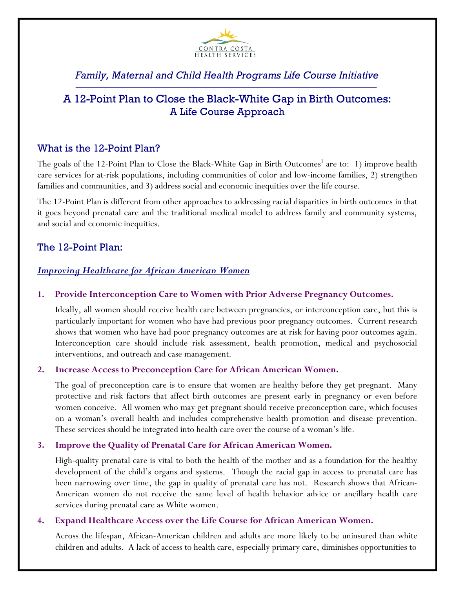

# *Family, Maternal and Child Health Programs Life Course Initiative*

# A 12-Point Plan to Close the Black-White Gap in Birth Outcomes: A Life Course Approach

# What is the 12-Point Plan?

The goals of the 12-Point Plan to Close the Black-White Gap in Birth Outcomes<sup>1</sup> are to: 1) improve health care services for at-risk populations, including communities of color and low-income families, 2) strengthen families and communities, and 3) address social and economic inequities over the life course.

The 12-Point Plan is different from other approaches to addressing racial disparities in birth outcomes in that it goes beyond prenatal care and the traditional medical model to address family and community systems, and social and economic inequities.

# The 12-Point Plan:

## *Improving Healthcare for African American Women*

#### **1. Provide Interconception Care to Women with Prior Adverse Pregnancy Outcomes.**

Ideally, all women should receive health care between pregnancies, or interconception care, but this is particularly important for women who have had previous poor pregnancy outcomes. Current research shows that women who have had poor pregnancy outcomes are at risk for having poor outcomes again. Interconception care should include risk assessment, health promotion, medical and psychosocial interventions, and outreach and case management.

#### **2. Increase Access to Preconception Care for African American Women.**

The goal of preconception care is to ensure that women are healthy before they get pregnant. Many protective and risk factors that affect birth outcomes are present early in pregnancy or even before women conceive. All women who may get pregnant should receive preconception care, which focuses on a woman's overall health and includes comprehensive health promotion and disease prevention. These services should be integrated into health care over the course of a woman's life.

#### **3. Improve the Quality of Prenatal Care for African American Women.**

High-quality prenatal care is vital to both the health of the mother and as a foundation for the healthy development of the child's organs and systems. Though the racial gap in access to prenatal care has been narrowing over time, the gap in quality of prenatal care has not. Research shows that African-American women do not receive the same level of health behavior advice or ancillary health care services during prenatal care as White women.

#### **4. Expand Healthcare Access over the Life Course for African American Women.**

Across the lifespan, African-American children and adults are more likely to be uninsured than white children and adults. A lack of access to health care, especially primary care, diminishes opportunities to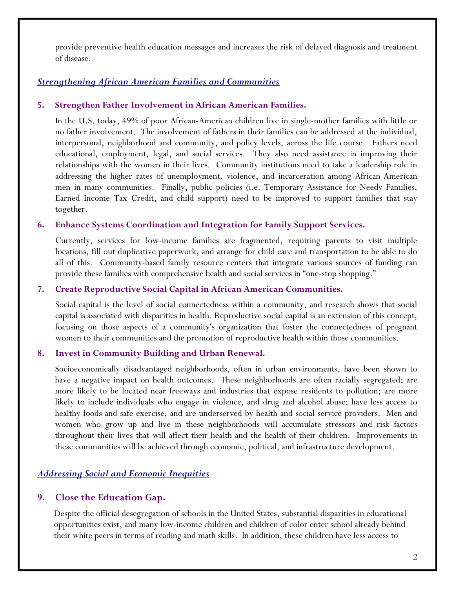provide preventive health education messages and increases the risk of delayed diagnosis and treatment of disease.

## *Strengthening African American Families and Communities*

## **5. Strengthen Father Involvement in African American Families.**

In the U.S. today, 49% of poor African-American children live in single-mother families with little or no father involvement. The involvement of fathers in their families can be addressed at the individual, interpersonal, neighborhood and community, and policy levels, across the life course. Fathers need educational, employment, legal, and social services. They also need assistance in improving their relationships with the women in their lives. Community institutions need to take a leadership role in addressing the higher rates of unemployment, violence, and incarceration among African-American men in many communities. Finally, public policies (i.e. Temporary Assistance for Needy Families, Earned Income Tax Credit, and child support) need to be improved to support families that stay together.

## **6. Enhance Systems Coordination and Integration for Family Support Services.**

Currently, services for low-income families are fragmented, requiring parents to visit multiple locations, fill out duplicative paperwork, and arrange for child care and transportation to be able to do all of this. Community-based family resource centers that integrate various sources of funding can provide these families with comprehensive health and social services in "one-stop shopping."

#### **7. Create Reproductive Social Capital in African American Communities.**

Social capital is the level of social connectedness within a community, and research shows that social capital is associated with disparities in health. Reproductive social capital is an extension of this concept, focusing on those aspects of a community's organization that foster the connectedness of pregnant women to their communities and the promotion of reproductive health within those communities.

## **8. Invest in Community Building and Urban Renewal.**

Socioeconomically disadvantaged neighborhoods, often in urban environments, have been shown to have a negative impact on health outcomes. These neighborhoods are often racially segregated; are more likely to be located near freeways and industries that expose residents to pollution; are more likely to include individuals who engage in violence, and drug and alcohol abuse; have less access to healthy foods and safe exercise; and are underserved by health and social service providers. Men and women who grow up and live in these neighborhoods will accumulate stressors and risk factors throughout their lives that will affect their health and the health of their children. Improvements in these communities will be achieved through economic, political, and infrastructure development.

## *Addressing Social and Economic Inequities*

## **9. Close the Education Gap.**

Despite the official desegregation of schools in the United States, substantial disparities in educational opportunities exist, and many low-income children and children of color enter school already behind their white peers in terms of reading and math skills. In addition, these children have less access to